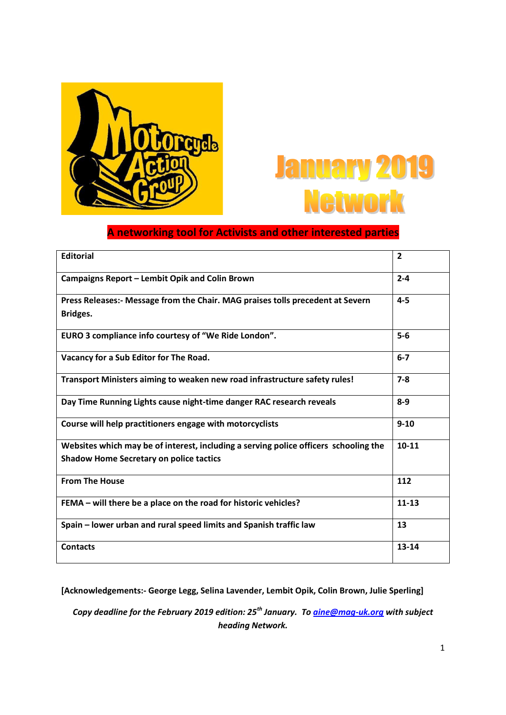



# **A networking tool for Activists and other interested parties**

| <b>Editorial</b>                                                                                                                       | $\overline{2}$ |
|----------------------------------------------------------------------------------------------------------------------------------------|----------------|
| Campaigns Report - Lembit Opik and Colin Brown                                                                                         | $2 - 4$        |
| Press Releases:- Message from the Chair. MAG praises tolls precedent at Severn<br>Bridges.                                             | $4 - 5$        |
| EURO 3 compliance info courtesy of "We Ride London".                                                                                   | $5-6$          |
| Vacancy for a Sub Editor for The Road.                                                                                                 | $6 - 7$        |
| Transport Ministers aiming to weaken new road infrastructure safety rules!                                                             | $7 - 8$        |
| Day Time Running Lights cause night-time danger RAC research reveals                                                                   | $8-9$          |
| Course will help practitioners engage with motorcyclists                                                                               | $9 - 10$       |
| Websites which may be of interest, including a serving police officers schooling the<br><b>Shadow Home Secretary on police tactics</b> | $10 - 11$      |
| <b>From The House</b>                                                                                                                  | 112            |
| FEMA - will there be a place on the road for historic vehicles?                                                                        | $11 - 13$      |
| Spain - lower urban and rural speed limits and Spanish traffic law                                                                     | 13             |
| <b>Contacts</b>                                                                                                                        | $13 - 14$      |

**[Acknowledgements:- George Legg, Selina Lavender, Lembit Opik, Colin Brown, Julie Sperling]** 

*Copy deadline for the February 2019 edition: 25th January. T[o aine@mag-uk.org w](mailto:aine@mag-uk.org)ith subject heading Network.*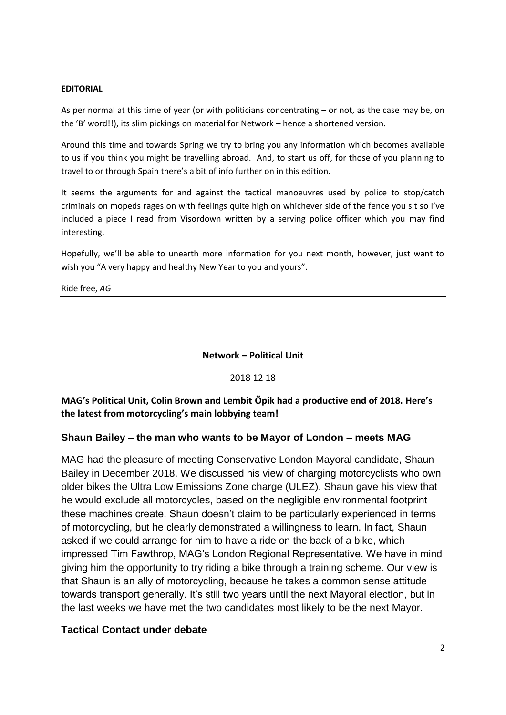#### **EDITORIAL**

As per normal at this time of year (or with politicians concentrating – or not, as the case may be, on the 'B' word!!), its slim pickings on material for Network – hence a shortened version.

Around this time and towards Spring we try to bring you any information which becomes available to us if you think you might be travelling abroad. And, to start us off, for those of you planning to travel to or through Spain there's a bit of info further on in this edition.

It seems the arguments for and against the tactical manoeuvres used by police to stop/catch criminals on mopeds rages on with feelings quite high on whichever side of the fence you sit so I've included a piece I read from Visordown written by a serving police officer which you may find interesting.

Hopefully, we'll be able to unearth more information for you next month, however, just want to wish you "A very happy and healthy New Year to you and yours".

Ride free, *AG*

#### **Network – Political Unit**

#### 2018 12 18

**MAG's Political Unit, Colin Brown and Lembit Öpik had a productive end of 2018. Here's the latest from motorcycling's main lobbying team!**

#### **Shaun Bailey – the man who wants to be Mayor of London – meets MAG**

MAG had the pleasure of meeting Conservative London Mayoral candidate, Shaun Bailey in December 2018. We discussed his view of charging motorcyclists who own older bikes the Ultra Low Emissions Zone charge (ULEZ). Shaun gave his view that he would exclude all motorcycles, based on the negligible environmental footprint these machines create. Shaun doesn"t claim to be particularly experienced in terms of motorcycling, but he clearly demonstrated a willingness to learn. In fact, Shaun asked if we could arrange for him to have a ride on the back of a bike, which impressed Tim Fawthrop, MAG"s London Regional Representative. We have in mind giving him the opportunity to try riding a bike through a training scheme. Our view is that Shaun is an ally of motorcycling, because he takes a common sense attitude towards transport generally. It's still two years until the next Mayoral election, but in the last weeks we have met the two candidates most likely to be the next Mayor.

#### **Tactical Contact under debate**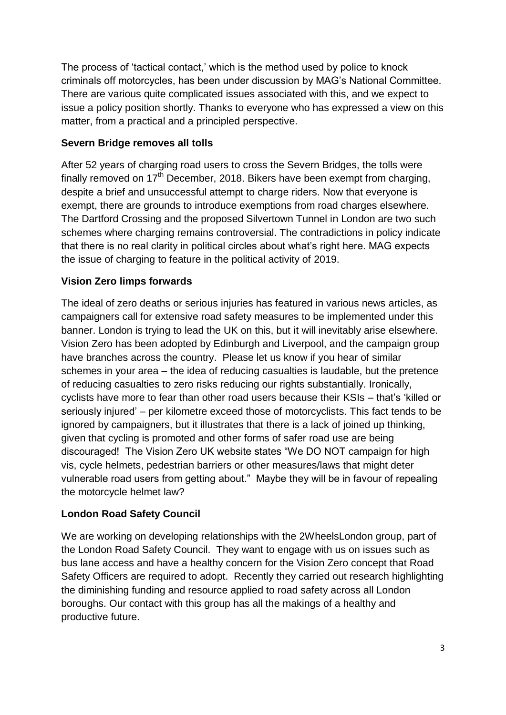The process of 'tactical contact,' which is the method used by police to knock criminals off motorcycles, has been under discussion by MAG"s National Committee. There are various quite complicated issues associated with this, and we expect to issue a policy position shortly. Thanks to everyone who has expressed a view on this matter, from a practical and a principled perspective.

## **Severn Bridge removes all tolls**

After 52 years of charging road users to cross the Severn Bridges, the tolls were finally removed on  $17<sup>th</sup>$  December, 2018. Bikers have been exempt from charging, despite a brief and unsuccessful attempt to charge riders. Now that everyone is exempt, there are grounds to introduce exemptions from road charges elsewhere. The Dartford Crossing and the proposed Silvertown Tunnel in London are two such schemes where charging remains controversial. The contradictions in policy indicate that there is no real clarity in political circles about what"s right here. MAG expects the issue of charging to feature in the political activity of 2019.

## **Vision Zero limps forwards**

The ideal of zero deaths or serious injuries has featured in various news articles, as campaigners call for extensive road safety measures to be implemented under this banner. London is trying to lead the UK on this, but it will inevitably arise elsewhere. Vision Zero has been adopted by Edinburgh and Liverpool, and the campaign group have branches across the country. Please let us know if you hear of similar schemes in your area – the idea of reducing casualties is laudable, but the pretence of reducing casualties to zero risks reducing our rights substantially. Ironically, cyclists have more to fear than other road users because their KSIs – that"s "killed or seriously injured" – per kilometre exceed those of motorcyclists. This fact tends to be ignored by campaigners, but it illustrates that there is a lack of joined up thinking, given that cycling is promoted and other forms of safer road use are being discouraged! The Vision Zero UK website states "We DO NOT campaign for high vis, cycle helmets, pedestrian barriers or other measures/laws that might deter vulnerable road users from getting about." Maybe they will be in favour of repealing the motorcycle helmet law?

## **London Road Safety Council**

We are working on developing relationships with the 2WheelsLondon group, part of the London Road Safety Council. They want to engage with us on issues such as bus lane access and have a healthy concern for the Vision Zero concept that Road Safety Officers are required to adopt. Recently they carried out research highlighting the diminishing funding and resource applied to road safety across all London boroughs. Our contact with this group has all the makings of a healthy and productive future.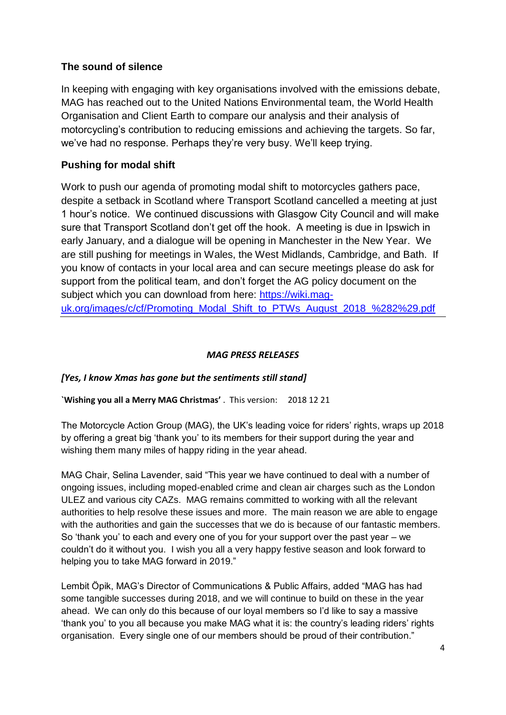## **The sound of silence**

In keeping with engaging with key organisations involved with the emissions debate, MAG has reached out to the United Nations Environmental team, the World Health Organisation and Client Earth to compare our analysis and their analysis of motorcycling"s contribution to reducing emissions and achieving the targets. So far, we've had no response. Perhaps they're very busy. We'll keep trying.

## **Pushing for modal shift**

Work to push our agenda of promoting modal shift to motorcycles gathers pace, despite a setback in Scotland where Transport Scotland cancelled a meeting at just 1 hour"s notice. We continued discussions with Glasgow City Council and will make sure that Transport Scotland don"t get off the hook. A meeting is due in Ipswich in early January, and a dialogue will be opening in Manchester in the New Year. We are still pushing for meetings in Wales, the West Midlands, Cambridge, and Bath. If you know of contacts in your local area and can secure meetings please do ask for support from the political team, and don"t forget the AG policy document on the subject which you can download from here: [https://wiki.mag](https://wiki.mag-uk.org/images/c/cf/Promoting_Modal_Shift_to_PTWs_August_2018_%282%29.pdf)[uk.org/images/c/cf/Promoting\\_Modal\\_Shift\\_to\\_PTWs\\_August\\_2018\\_%282%29.pdf](https://wiki.mag-uk.org/images/c/cf/Promoting_Modal_Shift_to_PTWs_August_2018_%282%29.pdf)

### *MAG PRESS RELEASES*

## *[Yes, I know Xmas has gone but the sentiments still stand]*

#### **`Wishing you all a Merry MAG Christmas'** . This version: 2018 12 21

The Motorcycle Action Group (MAG), the UK"s leading voice for riders" rights, wraps up 2018 by offering a great big "thank you" to its members for their support during the year and wishing them many miles of happy riding in the year ahead.

MAG Chair, Selina Lavender, said "This year we have continued to deal with a number of ongoing issues, including moped-enabled crime and clean air charges such as the London ULEZ and various city CAZs. MAG remains committed to working with all the relevant authorities to help resolve these issues and more. The main reason we are able to engage with the authorities and gain the successes that we do is because of our fantastic members. So "thank you" to each and every one of you for your support over the past year – we couldn"t do it without you. I wish you all a very happy festive season and look forward to helping you to take MAG forward in 2019."

Lembit Öpik, MAG"s Director of Communications & Public Affairs, added "MAG has had some tangible successes during 2018, and we will continue to build on these in the year ahead. We can only do this because of our loyal members so I"d like to say a massive "thank you" to you all because you make MAG what it is: the country"s leading riders" rights organisation. Every single one of our members should be proud of their contribution."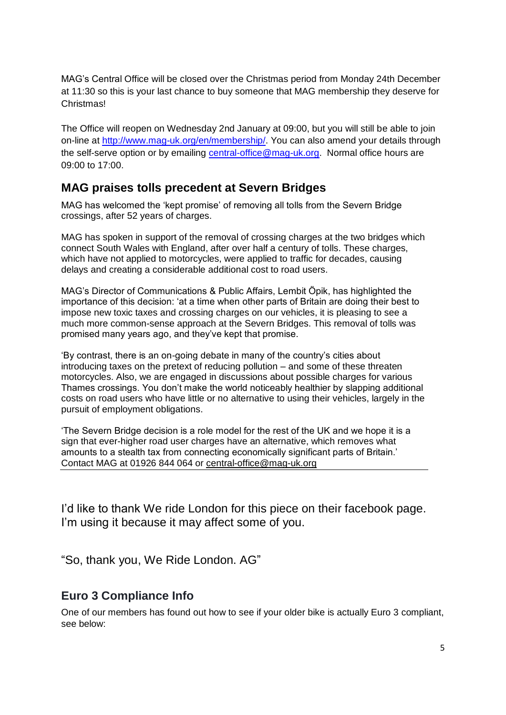MAG"s Central Office will be closed over the Christmas period from Monday 24th December at 11:30 so this is your last chance to buy someone that MAG membership they deserve for **Christmas!** 

The Office will reopen on Wednesday 2nd January at 09:00, but you will still be able to join on-line at [http://www.mag-uk.org/en/membership/.](http://www.mag-uk.org/en/membership/) You can also amend your details through the self-serve option or by emailing [central-office@mag-uk.org.](mailto:central-office@mag-uk.org) Normal office hours are 09:00 to 17:00.

# **MAG praises tolls precedent at Severn Bridges**

MAG has welcomed the "kept promise" of removing all tolls from the Severn Bridge crossings, after 52 years of charges.

MAG has spoken in support of the removal of crossing charges at the two bridges which connect South Wales with England, after over half a century of tolls. These charges, which have not applied to motorcycles, were applied to traffic for decades, causing delays and creating a considerable additional cost to road users.

MAG"s Director of Communications & Public Affairs, Lembit Öpik, has highlighted the importance of this decision: "at a time when other parts of Britain are doing their best to impose new toxic taxes and crossing charges on our vehicles, it is pleasing to see a much more common-sense approach at the Severn Bridges. This removal of tolls was promised many years ago, and they"ve kept that promise.

"By contrast, there is an on-going debate in many of the country"s cities about introducing taxes on the pretext of reducing pollution – and some of these threaten motorcycles. Also, we are engaged in discussions about possible charges for various Thames crossings. You don"t make the world noticeably healthier by slapping additional costs on road users who have little or no alternative to using their vehicles, largely in the pursuit of employment obligations.

"The Severn Bridge decision is a role model for the rest of the UK and we hope it is a sign that ever-higher road user charges have an alternative, which removes what amounts to a stealth tax from connecting economically significant parts of Britain." Contact MAG at 01926 844 064 or [central-office@mag-uk.org](mailto:central-office@mag-uk.org)

I"d like to thank We ride London for this piece on their facebook page. I'm using it because it may affect some of you.

"So, thank you, We Ride London. AG"

## **Euro 3 Compliance Info**

One of our members has found out how to see if your older bike is actually Euro 3 compliant, see below: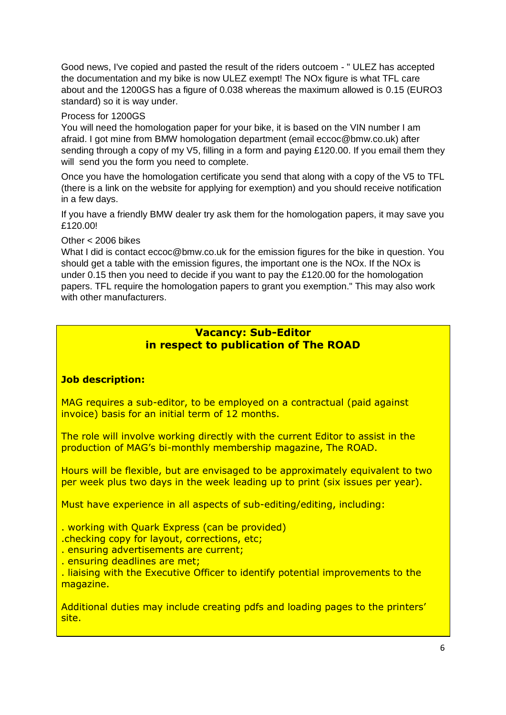Good news, I've copied and pasted the result of the riders outcoem - " ULEZ has accepted the documentation and my bike is now ULEZ exempt! The NOx figure is what TFL care about and the 1200GS has a figure of 0.038 whereas the maximum allowed is 0.15 (EURO3 standard) so it is way under.

#### Process for 1200GS

You will need the homologation paper for your bike, it is based on the VIN number I am afraid. I got mine from BMW homologation department (email eccoc@bmw.co.uk) after sending through a copy of my V5, filling in a form and paying £120.00. If you email them they will send you the form you need to complete.

Once you have the homologation certificate you send that along with a copy of the V5 to TFL (there is a link on the website for applying for exemption) and you should receive notification in a few days.

If you have a friendly BMW dealer try ask them for the homologation papers, it may save you £120.00!

Other < 2006 bikes

What I did is contact eccoc@bmw.co.uk for the emission figures for the bike in question. You should get a table with the emission figures, the important one is the NOx. If the NOx is under 0.15 then you need to decide if you want to pay the £120.00 for the homologation papers. TFL require the homologation papers to grant you exemption." This may also work with other manufacturers.

## **Vacancy: Sub-Editor in respect to publication of The ROAD**

#### **Job description:**

MAG requires a sub-editor, to be employed on a contractual (paid against invoice) basis for an initial term of 12 months.

The role will involve working directly with the current Editor to assist in the production of MAG's bi-monthly membership magazine, The ROAD.

Hours will be flexible, but are envisaged to be approximately equivalent to two per week plus two days in the week leading up to print (six issues per year).

Must have experience in all aspects of sub-editing/editing, including:

. working with Quark Express (can be provided)

.checking copy for layout, corrections, etc;

- . ensuring advertisements are current;
- . ensuring deadlines are met;

. liaising with the Executive Officer to identify potential improvements to the magazine.

Additional duties may include creating pdfs and loading pages to the printers' site.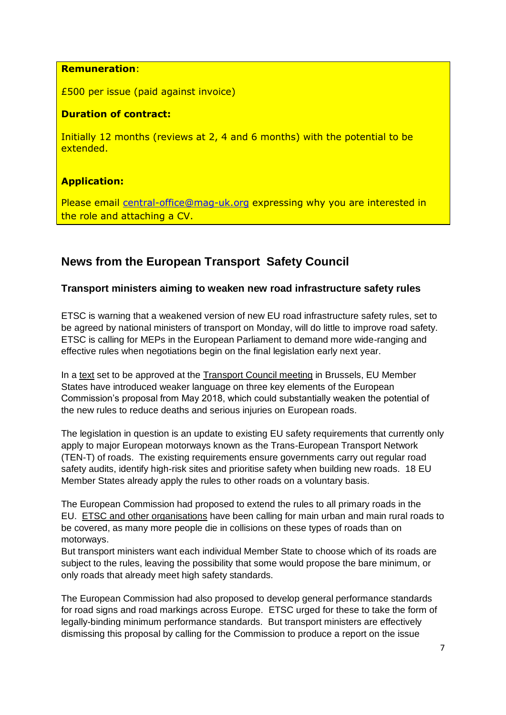#### **Remuneration**:

£500 per issue (paid against invoice)

### **Duration of contract:**

Initially 12 months (reviews at 2, 4 and 6 months) with the potential to be extended.

## **Application:**

Please email [central-office@mag-uk.org](mailto:central-office@mag-uk.org) expressing why you are interested in the role and attaching a CV.

# **News from the European Transport Safety Council**

#### **Transport ministers aiming to weaken new road infrastructure safety rules**

ETSC is warning that a weakened version of new EU road infrastructure safety rules, set to be agreed by national ministers of transport on Monday, will do little to improve road safety. ETSC is calling for MEPs in the European Parliament to demand more wide-ranging and effective rules when negotiations begin on the final legislation early next year.

In a [text](http://data.consilium.europa.eu/doc/document/ST-14109-2018-REV-1/en/pdf) set to be approved at the [Transport](https://www.consilium.europa.eu/en/meetings/tte/2018/12/03/) Council meeting in Brussels, EU Member States have introduced weaker language on three key elements of the European Commission"s proposal from May 2018, which could substantially weaken the potential of the new rules to reduce deaths and serious injuries on European roads.

The legislation in question is an update to existing EU safety requirements that currently only apply to major European motorways known as the Trans-European Transport Network (TEN-T) of roads. The existing requirements ensure governments carry out regular road safety audits, identify high-risk sites and prioritise safety when building new roads. 18 EU Member States already apply the rules to other roads on a voluntary basis.

The European Commission had proposed to extend the rules to all primary roads in the EU. ETSC and other [organisations](https://etsc.eu/joint-statement-on-revision-of-the-road-infrastructure-safety-management-directive-2008-96/) have been calling for main urban and main rural roads to be covered, as many more people die in collisions on these types of roads than on motorways.

But transport ministers want each individual Member State to choose which of its roads are subject to the rules, leaving the possibility that some would propose the bare minimum, or only roads that already meet high safety standards.

The European Commission had also proposed to develop general performance standards for road signs and road markings across Europe. ETSC urged for these to take the form of legally-binding minimum performance standards. But transport ministers are effectively dismissing this proposal by calling for the Commission to produce a report on the issue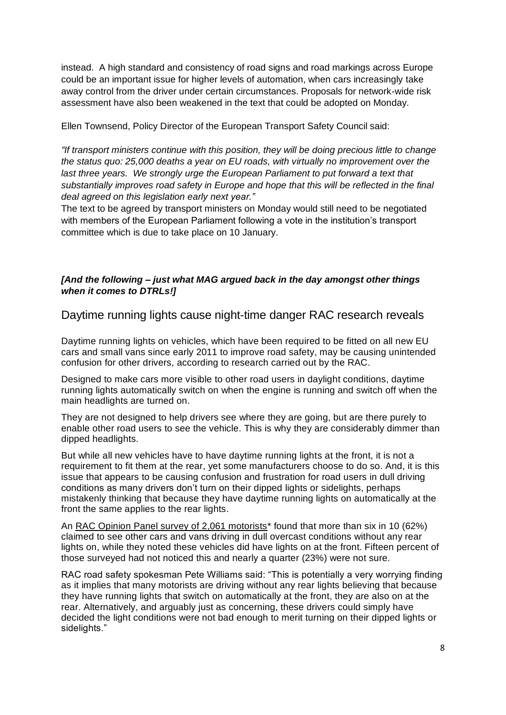instead. A high standard and consistency of road signs and road markings across Europe could be an important issue for higher levels of automation, when cars increasingly take away control from the driver under certain circumstances. Proposals for network-wide risk assessment have also been weakened in the text that could be adopted on Monday.

Ellen Townsend, Policy Director of the European Transport Safety Council said:

*"If transport ministers continue with this position, they will be doing precious little to change the status quo: 25,000 deaths a year on EU roads, with virtually no improvement over the last three years. We strongly urge the European Parliament to put forward a text that substantially improves road safety in Europe and hope that this will be reflected in the final deal agreed on this legislation early next year."*

The text to be agreed by transport ministers on Monday would still need to be negotiated with members of the European Parliament following a vote in the institution's transport committee which is due to take place on 10 January.

#### *[And the following – just what MAG argued back in the day amongst other things when it comes to DTRLs!]*

Daytime running lights cause night-time danger RAC research reveals

Daytime running lights on vehicles, which have been required to be fitted on all new EU cars and small vans since early 2011 to improve road safety, may be causing unintended confusion for other drivers, according to research carried out by the RAC.

Designed to make cars more visible to other road users in daylight conditions, daytime running lights automatically switch on when the engine is running and switch off when the main headlights are turned on.

They are not designed to help drivers see where they are going, but are there purely to enable other road users to see the vehicle. This is why they are considerably dimmer than dipped headlights.

But while all new vehicles have to have daytime running lights at the front, it is not a requirement to fit them at the rear, yet some manufacturers choose to do so. And, it is this issue that appears to be causing confusion and frustration for road users in dull driving conditions as many drivers don"t turn on their dipped lights or sidelights, perhaps mistakenly thinking that because they have daytime running lights on automatically at the front the same applies to the rear lights.

An RAC Opinion Panel survey of 2,061 motorists<sup>\*</sup> found that more than six in 10 (62%) claimed to see other cars and vans driving in dull overcast conditions without any rear lights on, while they noted these vehicles did have lights on at the front. Fifteen percent of those surveyed had not noticed this and nearly a quarter (23%) were not sure.

RAC road safety spokesman Pete Williams said: "This is potentially a very worrying finding as it implies that many motorists are driving without any rear lights believing that because they have running lights that switch on automatically at the front, they are also on at the rear. Alternatively, and arguably just as concerning, these drivers could simply have decided the light conditions were not bad enough to merit turning on their dipped lights or sidelights."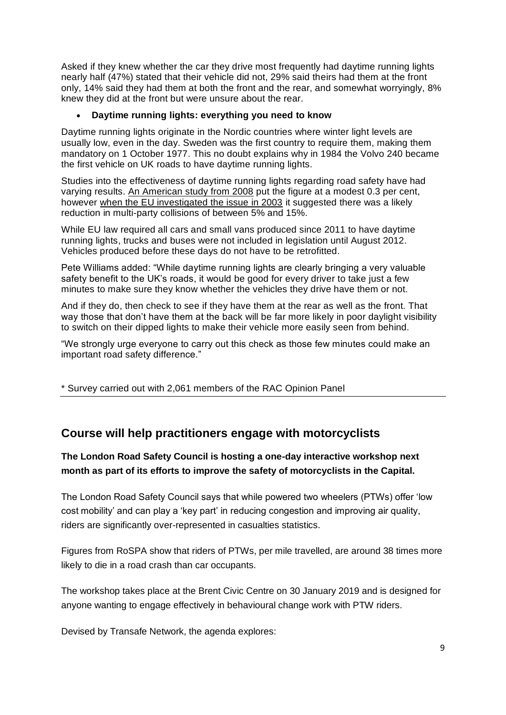Asked if they knew whether the car they drive most frequently had daytime running lights nearly half (47%) stated that their vehicle did not, 29% said theirs had them at the front only, 14% said they had them at both the front and the rear, and somewhat worryingly, 8% knew they did at the front but were unsure about the rear.

#### **[Daytime running lights: everything you need to know](https://www.rac.co.uk/drive/advice/car-maintenance/daytime-running-lights/)**

Daytime running lights originate in the Nordic countries where winter light levels are usually low, even in the day. Sweden was the first country to require them, making them mandatory on 1 October 1977. This no doubt explains why in 1984 the Volvo 240 became the first vehicle on UK roads to have daytime running lights.

Studies into the effectiveness of daytime running lights regarding road safety have had varying results. [An American study from 2008](https://crashstats.nhtsa.dot.gov/Api/Public/ViewPublication/811029) put the figure at a modest 0.3 per cent, however [when the EU investigated the issue in 2003](https://ec.europa.eu/transport/road_safety/sites/roadsafety/files/pdf/projects_sources/drl_final_report_oct_2004.pdf) it suggested there was a likely reduction in multi-party collisions of between 5% and 15%.

While EU law required all cars and small vans produced since 2011 to have daytime running lights, trucks and buses were not included in legislation until August 2012. Vehicles produced before these days do not have to be retrofitted.

Pete Williams added: "While daytime running lights are clearly bringing a very valuable safety benefit to the UK's roads, it would be good for every driver to take just a few minutes to make sure they know whether the vehicles they drive have them or not.

And if they do, then check to see if they have them at the rear as well as the front. That way those that don"t have them at the back will be far more likely in poor daylight visibility to switch on their dipped lights to make their vehicle more easily seen from behind.

"We strongly urge everyone to carry out this check as those few minutes could make an important road safety difference."

\* Survey carried out with 2,061 members of the RAC Opinion Panel

## **Course will help practitioners engage with motorcyclists**

**The London Road Safety Council is hosting a one-day interactive workshop next month as part of its efforts to improve the safety of motorcyclists in the Capital.**

The London Road Safety Council says that while powered two wheelers (PTWs) offer "low cost mobility" and can play a "key part" in reducing congestion and improving air quality, riders are significantly over-represented in casualties statistics.

Figures from RoSPA show that riders of PTWs, per mile travelled, are around 38 times more likely to die in a road crash than car occupants.

The workshop takes place at the Brent Civic Centre on 30 January 2019 and is designed for anyone wanting to engage effectively in behavioural change work with PTW riders.

Devised by Transafe Network, the agenda explores: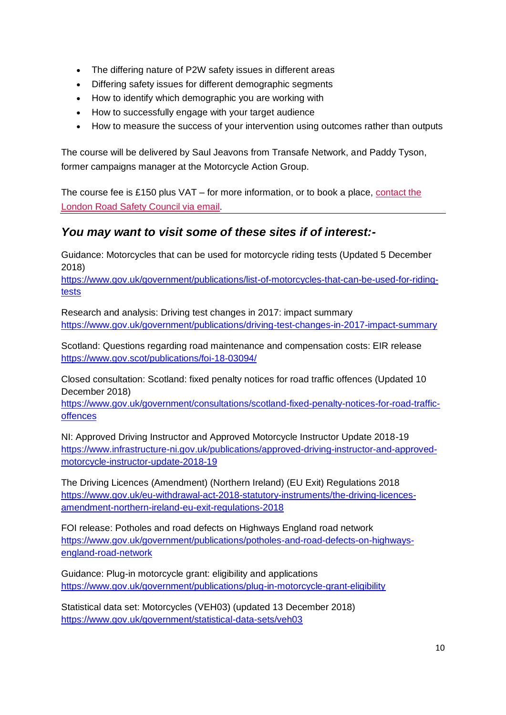- The differing nature of P2W safety issues in different areas
- Differing safety issues for different demographic segments
- How to identify which demographic you are working with
- How to successfully engage with your target audience
- How to measure the success of your intervention using outcomes rather than outputs

The course will be delivered by Saul Jeavons from Transafe Network, and Paddy Tyson, former campaigns manager at the Motorcycle Action Group.

The course fee is £150 plus VAT – for more information, or to book a place, [contact the](mailto:admin@londonroadsafetycouncil.org.uk)  [London Road Safety Council via email.](mailto:admin@londonroadsafetycouncil.org.uk)

# *You may want to visit some of these sites if of interest:-*

Guidance: Motorcycles that can be used for motorcycle riding tests (Updated 5 December 2018)

[https://www.gov.uk/government/publications/list-of-motorcycles-that-can-be-used-for-riding](https://www.gov.uk/government/publications/list-of-motorcycles-that-can-be-used-for-riding-tests)[tests](https://www.gov.uk/government/publications/list-of-motorcycles-that-can-be-used-for-riding-tests)

Research and analysis: Driving test changes in 2017: impact summary <https://www.gov.uk/government/publications/driving-test-changes-in-2017-impact-summary>

Scotland: Questions regarding road maintenance and compensation costs: EIR release <https://www.gov.scot/publications/foi-18-03094/>

Closed consultation: Scotland: fixed penalty notices for road traffic offences (Updated 10 December 2018)

[https://www.gov.uk/government/consultations/scotland-fixed-penalty-notices-for-road-traffic](https://www.gov.uk/government/consultations/scotland-fixed-penalty-notices-for-road-traffic-offences)[offences](https://www.gov.uk/government/consultations/scotland-fixed-penalty-notices-for-road-traffic-offences)

NI: Approved Driving Instructor and Approved Motorcycle Instructor Update 2018-19 [https://www.infrastructure-ni.gov.uk/publications/approved-driving-instructor-and-approved](https://www.infrastructure-ni.gov.uk/publications/approved-driving-instructor-and-approved-motorcycle-instructor-update-2018-19)[motorcycle-instructor-update-2018-19](https://www.infrastructure-ni.gov.uk/publications/approved-driving-instructor-and-approved-motorcycle-instructor-update-2018-19)

The Driving Licences (Amendment) (Northern Ireland) (EU Exit) Regulations 2018 [https://www.gov.uk/eu-withdrawal-act-2018-statutory-instruments/the-driving-licences](https://www.gov.uk/eu-withdrawal-act-2018-statutory-instruments/the-driving-licences-amendment-northern-ireland-eu-exit-regulations-2018)[amendment-northern-ireland-eu-exit-regulations-2018](https://www.gov.uk/eu-withdrawal-act-2018-statutory-instruments/the-driving-licences-amendment-northern-ireland-eu-exit-regulations-2018)

FOI release: Potholes and road defects on Highways England road network [https://www.gov.uk/government/publications/potholes-and-road-defects-on-highways](https://www.gov.uk/government/publications/potholes-and-road-defects-on-highways-england-road-network)[england-road-network](https://www.gov.uk/government/publications/potholes-and-road-defects-on-highways-england-road-network)

Guidance: Plug-in motorcycle grant: eligibility and applications <https://www.gov.uk/government/publications/plug-in-motorcycle-grant-eligibility>

Statistical data set: Motorcycles (VEH03) (updated 13 December 2018) <https://www.gov.uk/government/statistical-data-sets/veh03>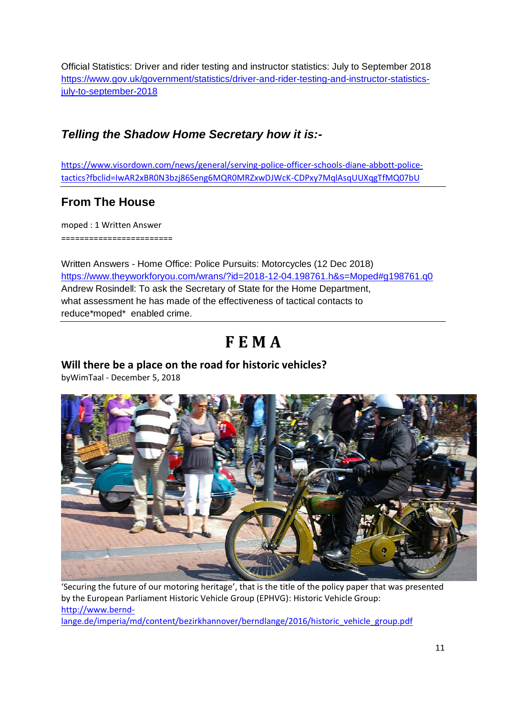Official Statistics: Driver and rider testing and instructor statistics: July to September 2018 [https://www.gov.uk/government/statistics/driver-and-rider-testing-and-instructor-statistics](https://www.gov.uk/government/statistics/driver-and-rider-testing-and-instructor-statistics-july-to-september-2018)[july-to-september-2018](https://www.gov.uk/government/statistics/driver-and-rider-testing-and-instructor-statistics-july-to-september-2018)

# *Telling the Shadow Home Secretary how it is:-*

[https://www.visordown.com/news/general/serving-police-officer-schools-diane-abbott-police](https://www.visordown.com/news/general/serving-police-officer-schools-diane-abbott-police-tactics?fbclid=IwAR2xBR0N3bzj86Seng6MQR0MRZxwDJWcK-CDPxy7MqlAsqUUXqgTfMQ07bU)[tactics?fbclid=IwAR2xBR0N3bzj86Seng6MQR0MRZxwDJWcK-CDPxy7MqlAsqUUXqgTfMQ07bU](https://www.visordown.com/news/general/serving-police-officer-schools-diane-abbott-police-tactics?fbclid=IwAR2xBR0N3bzj86Seng6MQR0MRZxwDJWcK-CDPxy7MqlAsqUUXqgTfMQ07bU)

# **From The House**

moped : 1 Written Answer ========================

Written Answers - Home Office: Police Pursuits: Motorcycles (12 Dec 2018) <https://www.theyworkforyou.com/wrans/?id=2018-12-04.198761.h&s=Moped#g198761.q0> Andrew Rosindell: To ask the Secretary of State for the Home Department, what assessment he has made of the effectiveness of tactical contacts to reduce\*moped\* enabled crime.

# **F E M A**

## **Will there be a place on the road for historic vehicles?**

byWimTaal - December 5, 2018



'Securing the future of our motoring heritage', that is the title of the policy paper that was presented by the European Parliament Historic Vehicle Group (EPHVG): Historic Vehicle Group: [http://www.bernd-](http://www.bernd-lange.de/imperia/md/content/bezirkhannover/berndlange/2016/historic_vehicle_group.pdf)

[lange.de/imperia/md/content/bezirkhannover/berndlange/2016/historic\\_vehicle\\_group.pdf](http://www.bernd-lange.de/imperia/md/content/bezirkhannover/berndlange/2016/historic_vehicle_group.pdf)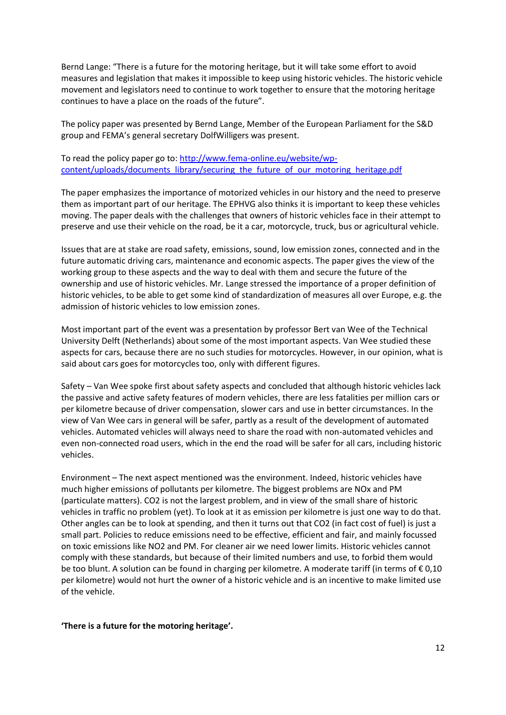Bernd Lange: "There is a future for the motoring heritage, but it will take some effort to avoid measures and legislation that makes it impossible to keep using historic vehicles. The historic vehicle movement and legislators need to continue to work together to ensure that the motoring heritage continues to have a place on the roads of the future".

The policy paper was presented by Bernd Lange, Member of the European Parliament for the S&D group and FEMA's general secretary DolfWilligers was present.

To read the policy paper go to: [http://www.fema-online.eu/website/wp](http://www.fema-online.eu/website/wp-content/uploads/documents_library/securing_the_future_of_our_motoring_heritage.pdf)[content/uploads/documents\\_library/securing\\_the\\_future\\_of\\_our\\_motoring\\_heritage.pdf](http://www.fema-online.eu/website/wp-content/uploads/documents_library/securing_the_future_of_our_motoring_heritage.pdf)

The paper emphasizes the importance of motorized vehicles in our history and the need to preserve them as important part of our heritage. The EPHVG also thinks it is important to keep these vehicles moving. The paper deals with the challenges that owners of historic vehicles face in their attempt to preserve and use their vehicle on the road, be it a car, motorcycle, truck, bus or agricultural vehicle.

Issues that are at stake are road safety, emissions, sound, low emission zones, connected and in the future automatic driving cars, maintenance and economic aspects. The paper gives the view of the working group to these aspects and the way to deal with them and secure the future of the ownership and use of historic vehicles. Mr. Lange stressed the importance of a proper definition of historic vehicles, to be able to get some kind of standardization of measures all over Europe, e.g. the admission of historic vehicles to low emission zones.

Most important part of the event was a presentation by professor Bert van Wee of the Technical University Delft (Netherlands) about some of the most important aspects. Van Wee studied these aspects for cars, because there are no such studies for motorcycles. However, in our opinion, what is said about cars goes for motorcycles too, only with different figures.

Safety – Van Wee spoke first about safety aspects and concluded that although historic vehicles lack the passive and active safety features of modern vehicles, there are less fatalities per million cars or per kilometre because of driver compensation, slower cars and use in better circumstances. In the view of Van Wee cars in general will be safer, partly as a result of the development of automated vehicles. Automated vehicles will always need to share the road with non-automated vehicles and even non-connected road users, which in the end the road will be safer for all cars, including historic vehicles.

Environment – The next aspect mentioned was the environment. Indeed, historic vehicles have much higher emissions of pollutants per kilometre. The biggest problems are NOx and PM (particulate matters). CO2 is not the largest problem, and in view of the small share of historic vehicles in traffic no problem (yet). To look at it as emission per kilometre is just one way to do that. Other angles can be to look at spending, and then it turns out that CO2 (in fact cost of fuel) is just a small part. Policies to reduce emissions need to be effective, efficient and fair, and mainly focussed on toxic emissions like NO2 and PM. For cleaner air we need lower limits. Historic vehicles cannot comply with these standards, but because of their limited numbers and use, to forbid them would be too blunt. A solution can be found in charging per kilometre. A moderate tariff (in terms of € 0,10 per kilometre) would not hurt the owner of a historic vehicle and is an incentive to make limited use of the vehicle.

#### **'There is a future for the motoring heritage'.**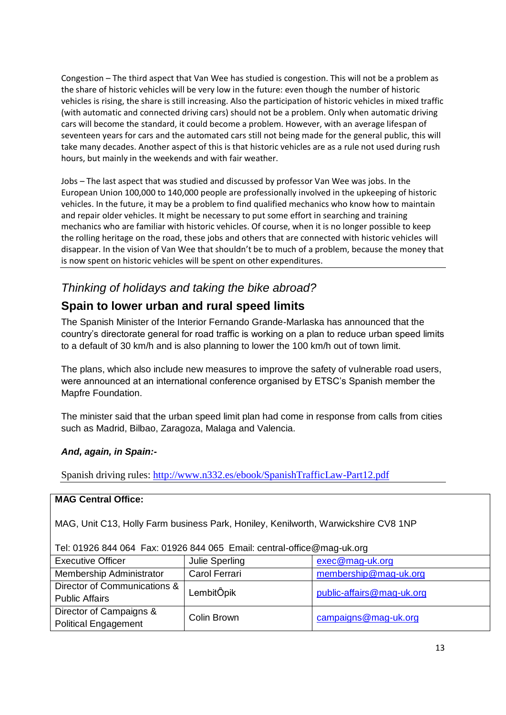Congestion – The third aspect that Van Wee has studied is congestion. This will not be a problem as the share of historic vehicles will be very low in the future: even though the number of historic vehicles is rising, the share is still increasing. Also the participation of historic vehicles in mixed traffic (with automatic and connected driving cars) should not be a problem. Only when automatic driving cars will become the standard, it could become a problem. However, with an average lifespan of seventeen years for cars and the automated cars still not being made for the general public, this will take many decades. Another aspect of this is that historic vehicles are as a rule not used during rush hours, but mainly in the weekends and with fair weather.

Jobs – The last aspect that was studied and discussed by professor Van Wee was jobs. In the European Union 100,000 to 140,000 people are professionally involved in the upkeeping of historic vehicles. In the future, it may be a problem to find qualified mechanics who know how to maintain and repair older vehicles. It might be necessary to put some effort in searching and training mechanics who are familiar with historic vehicles. Of course, when it is no longer possible to keep the rolling heritage on the road, these jobs and others that are connected with historic vehicles will disappear. In the vision of Van Wee that shouldn't be to much of a problem, because the money that is now spent on historic vehicles will be spent on other expenditures.

# *Thinking of holidays and taking the bike abroad?*

# **Spain to lower urban and rural speed limits**

The Spanish Minister of the Interior Fernando Grande-Marlaska has announced that the country"s directorate general for road traffic is working on a plan to reduce urban speed limits to a default of 30 km/h and is also planning to lower the 100 km/h out of town limit.

The plans, which also include new measures to improve the safety of vulnerable road users, were announced at an international conference organised by ETSC"s Spanish member the Mapfre Foundation.

The minister said that the urban speed limit plan had come in response from calls from cities such as Madrid, Bilbao, Zaragoza, Malaga and Valencia.

#### *And, again, in Spain:-*

Spanish driving rules:<http://www.n332.es/ebook/SpanishTrafficLaw-Part12.pdf>

#### **MAG Central Office:**

MAG, Unit C13, Holly Farm business Park, Honiley, Kenilworth, Warwickshire CV8 1NP

| Tel: 01926 844 064 Fax: 01926 844 065 Email: central-office@mag-uk.org |                |                           |  |
|------------------------------------------------------------------------|----------------|---------------------------|--|
| <b>Executive Officer</b>                                               | Julie Sperling | exec@mag-uk.org           |  |
| Membership Administrator                                               | Carol Ferrari  | membership@mag-uk.org     |  |
| Director of Communications &                                           | LembitÖpik     | public-affairs@mag-uk.org |  |
| <b>Public Affairs</b>                                                  |                |                           |  |
| Director of Campaigns &                                                | Colin Brown    | campaigns@mag-uk.org      |  |
| <b>Political Engagement</b>                                            |                |                           |  |

Tel: 01926 844 064 Fax: 01926 844 065 Email: central-office@mag-uk.org